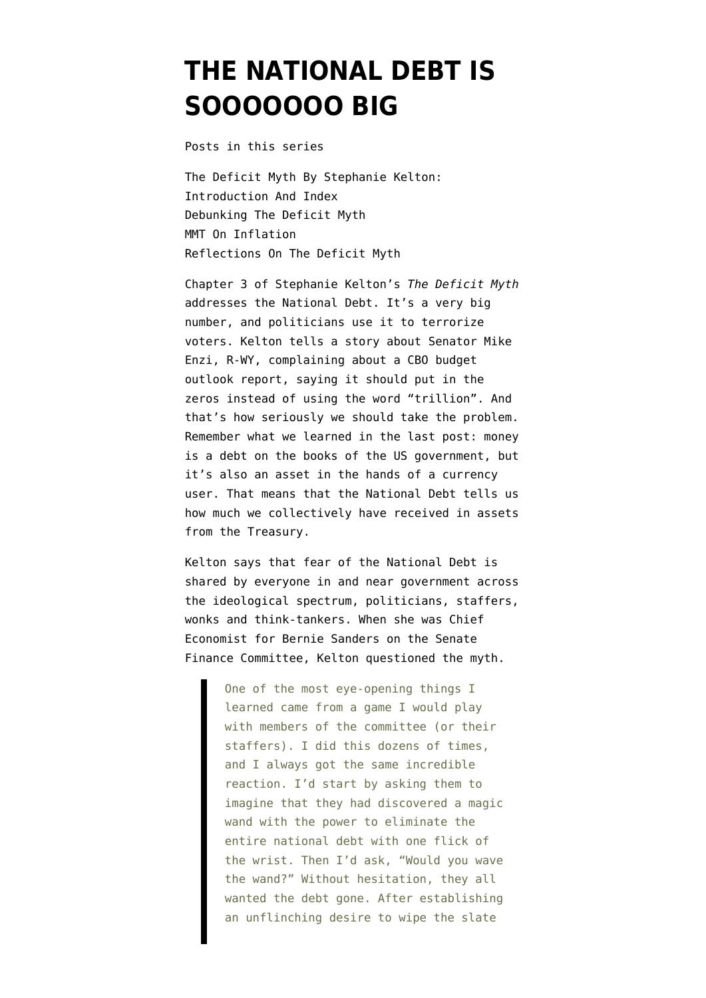## **[THE NATIONAL DEBT IS](https://www.emptywheel.net/2020/07/06/the-national-debt-is-sooooooo-big/) [SOOOOOOO BIG](https://www.emptywheel.net/2020/07/06/the-national-debt-is-sooooooo-big/)**

Posts in this series

[The Deficit Myth By Stephanie Kelton:](https://www.emptywheel.net/2020/06/11/the-deficit-myth-by-stephanie-kelton-introduction-and-index/) [Introduction And Index](https://www.emptywheel.net/2020/06/11/the-deficit-myth-by-stephanie-kelton-introduction-and-index/) [Debunking The Deficit Myth](https://www.emptywheel.net/2020/06/16/debunking-the-deficit-myth/) [MMT On Inflation](https://www.emptywheel.net/2020/06/22/mmt-on-inflation/) [Reflections On The Deficit Myth](https://www.emptywheel.net/2020/06/29/reflections-on-the-deficit-myth/)

Chapter 3 of Stephanie Kelton's *The Deficit Myth* addresses the National Debt. It's a very big number, and politicians use it to terrorize voters. Kelton tells a story about Senator Mike Enzi, R-WY, complaining about a CBO budget outlook report, saying it should put in the zeros instead of using the word "trillion". And that's how seriously we should take the problem. Remember what we learned in the last post: money is a debt on the books of the US government, but it's also an asset in the hands of a currency user. That means that the National Debt tells us how much we collectively have received in assets from the Treasury.

Kelton says that fear of the National Debt is shared by everyone in and near government across the ideological spectrum, politicians, staffers, wonks and think-tankers. When she was Chief Economist for Bernie Sanders on the Senate Finance Committee, Kelton questioned the myth.

> One of the most eye-opening things I learned came from a game I would play with members of the committee (or their staffers). I did this dozens of times, and I always got the same incredible reaction. I'd start by asking them to imagine that they had discovered a magic wand with the power to eliminate the entire national debt with one flick of the wrist. Then I'd ask, "Would you wave the wand?" Without hesitation, they all wanted the debt gone. After establishing an unflinching desire to wipe the slate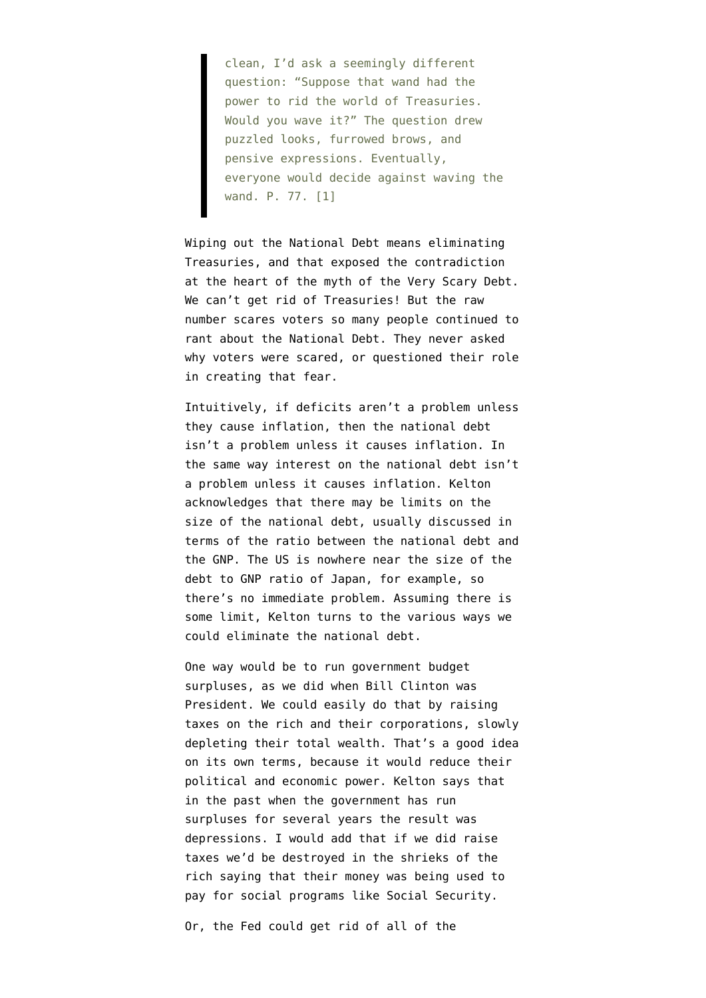clean, I'd ask a seemingly different question: "Suppose that wand had the power to rid the world of Treasuries. Would you wave it?" The question drew puzzled looks, furrowed brows, and pensive expressions. Eventually, everyone would decide against waving the wand. P. 77. [1]

Wiping out the National Debt means eliminating Treasuries, and that exposed the contradiction at the heart of the myth of the Very Scary Debt. We can't get rid of Treasuries! But the raw number scares voters so many people continued to rant about the National Debt. They never asked why voters were scared, or questioned their role in creating that fear.

Intuitively, if deficits aren't a problem unless they cause inflation, then the national debt isn't a problem unless it causes inflation. In the same way interest on the national debt isn't a problem unless it causes inflation. Kelton acknowledges that there may be limits on the size of the national debt, usually discussed in terms of the ratio between the national debt and the GNP. The US is nowhere near the size of the debt to GNP ratio of Japan, for example, so there's no immediate problem. Assuming there is some limit, Kelton turns to the various ways we could eliminate the national debt.

One way would be to run government budget surpluses, as we did when Bill Clinton was President. We could easily do that by raising taxes on the rich and their corporations, slowly depleting their total wealth. That's a good idea on its own terms, because it would reduce their political and economic power. Kelton says that in the past when the government has run surpluses for several years the result was depressions. I would add that if we did raise taxes we'd be destroyed in the shrieks of the rich saying that their money was being used to pay for social programs like Social Security.

Or, the Fed could get rid of all of the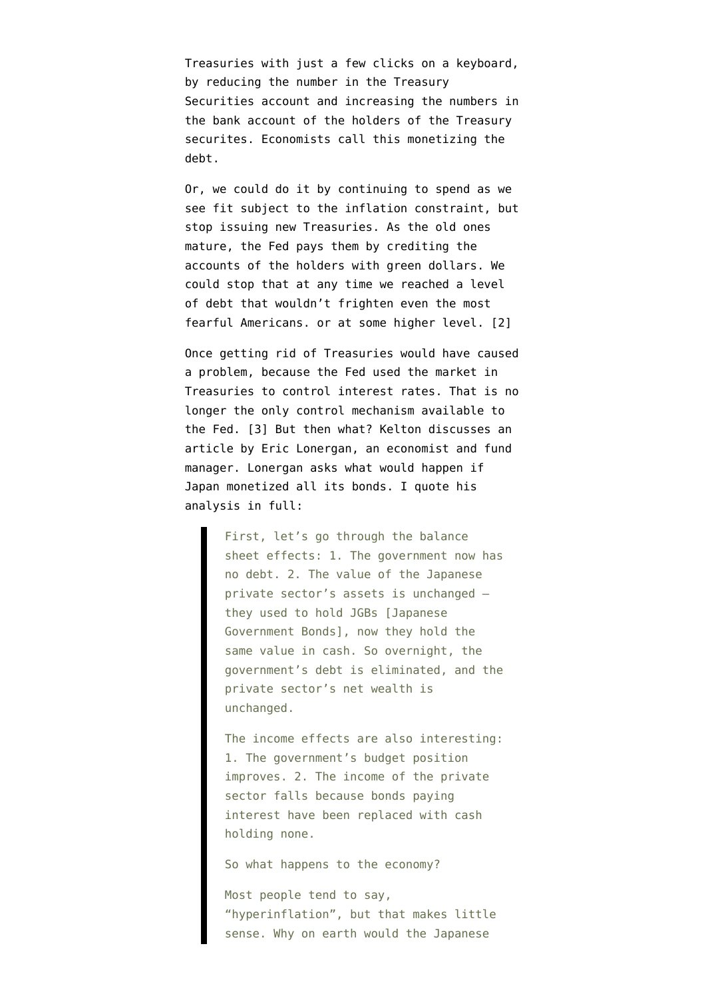Treasuries with just a few clicks on a keyboard, by reducing the number in the Treasury Securities account and increasing the numbers in the bank account of the holders of the Treasury securites. Economists call this monetizing the debt.

Or, we could do it by continuing to spend as we see fit subject to the inflation constraint, but stop issuing new Treasuries. As the old ones mature, the Fed pays them by crediting the accounts of the holders with green dollars. We could stop that at any time we reached a level of debt that wouldn't frighten even the most fearful Americans. or at some higher level. [2]

Once getting rid of Treasuries would have caused a problem, because the Fed used the market in Treasuries to control interest rates. That is no longer the only control mechanism available to the Fed. [3] But then what? Kelton discusses an article by [Eric Lonergan,](https://positivemoney.org/eric-lonergan/) an economist and fund manager. Lonergan asks what would happen if Japan monetized all its bonds. I quote [his](http://www.drobny.com/assets/_control/content/files/Drobny_121712_10_24_13.pdf) [analysis](http://www.drobny.com/assets/_control/content/files/Drobny_121712_10_24_13.pdf) in full:

> First, let's go through the balance sheet effects: 1. The government now has no debt. 2. The value of the Japanese private sector's assets is unchanged – they used to hold JGBs [Japanese Government Bonds], now they hold the same value in cash. So overnight, the government's debt is eliminated, and the private sector's net wealth is unchanged.

> The income effects are also interesting: 1. The government's budget position improves. 2. The income of the private sector falls because bonds paying interest have been replaced with cash holding none.

So what happens to the economy?

Most people tend to say, "hyperinflation", but that makes little sense. Why on earth would the Japanese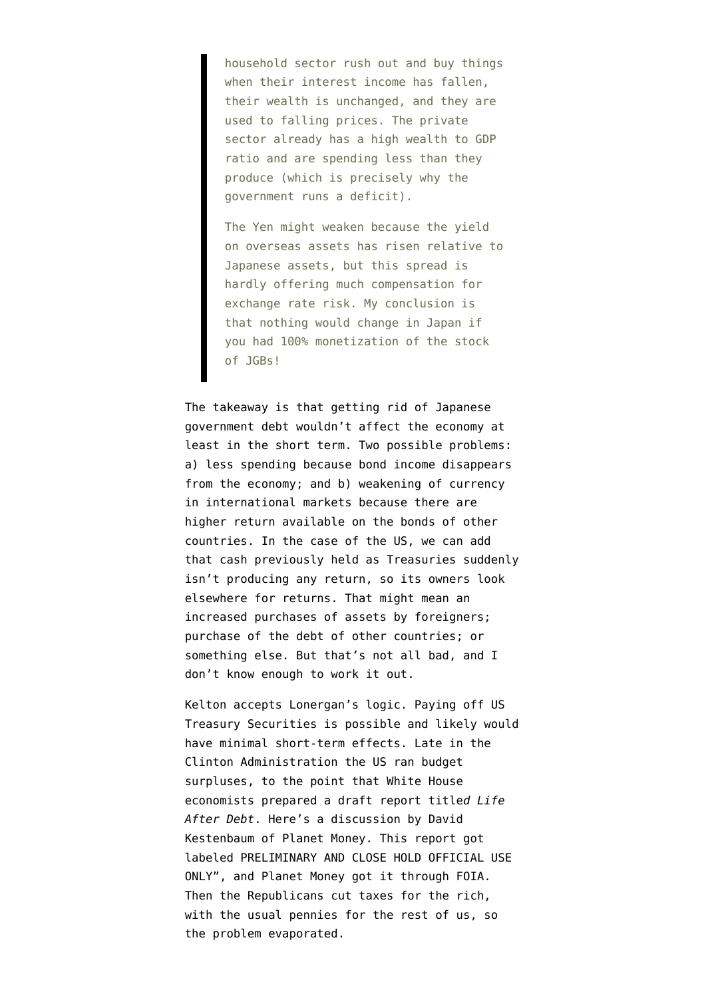household sector rush out and buy things when their interest income has fallen, their wealth is unchanged, and they are used to falling prices. The private sector already has a high wealth to GDP ratio and are spending less than they produce (which is precisely why the government runs a deficit).

The Yen might weaken because the yield on overseas assets has risen relative to Japanese assets, but this spread is hardly offering much compensation for exchange rate risk. My conclusion is that nothing would change in Japan if you had 100% monetization of the stock of JGBs!

The takeaway is that getting rid of Japanese government debt wouldn't affect the economy at least in the short term. Two possible problems: a) less spending because bond income disappears from the economy; and b) weakening of currency in international markets because there are higher return available on the bonds of other countries. In the case of the US, we can add that cash previously held as Treasuries suddenly isn't producing any return, so its owners look elsewhere for returns. That might mean an increased purchases of assets by foreigners; purchase of the debt of other countries; or something else. But that's not all bad, and I don't know enough to work it out.

Kelton accepts Lonergan's logic. Paying off US Treasury Securities is possible and likely would have minimal short-term effects. Late in the Clinton Administration the US ran budget surpluses, to the point that White House economists prepared a draft report title*d Life After Debt*. Here's a [discussion](https://www.npr.org/sections/money/2011/10/21/141510617/what-if-we-paid-off-the-debt-the-secret-government-report) by David Kestenbaum of Planet Money. This report got labeled PRELIMINARY AND CLOSE HOLD OFFICIAL USE ONLY", and Planet Money got it through FOIA. Then the Republicans cut taxes for the rich, with the usual pennies for the rest of us, so the problem evaporated.